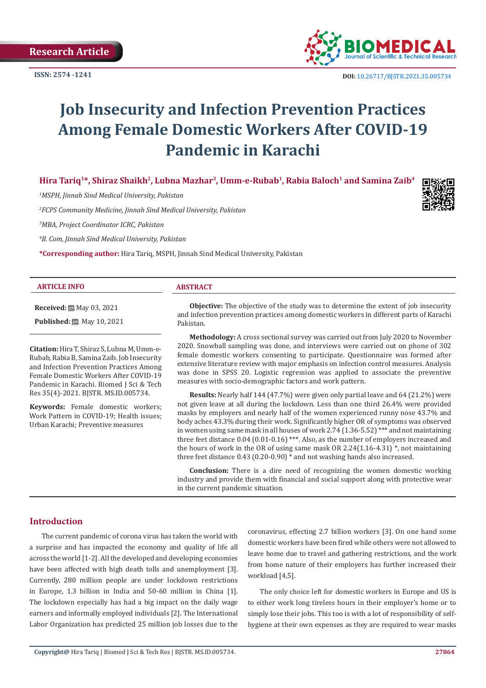

# **Job Insecurity and Infection Prevention Practices Among Female Domestic Workers After COVID-19 Pandemic in Karachi**

**Hira Tariq1\*, Shiraz Shaikh2, Lubna Mazhar3, Umm-e-Rubab1, Rabia Baloch1 and Samina Zaib4**

*1 MSPH, Jinnah Sind Medical University, Pakistan* 

*2 FCPS Community Medicine, Jinnah Sind Medical University, Pakistan*

*3 MBA, Project Coordinator ICRC, Pakistan*

*4 B. Com, Jinnah Sind Medical University, Pakistan*

**\*Corresponding author:** Hira Tariq, MSPH, Jinnah Sind Medical University, Pakistan

#### **ARTICLE INFO ABSTRACT**

**Received:** ■ May 03, 2021

**Published:** 圖 May 10, 2021

**Citation:** Hira T, Shiraz S, Lubna M, Umm-e-Rubab, Rabia B, Samina Zaib. Job Insecurity and Infection Prevention Practices Among Female Domestic Workers After COVID-19 Pandemic in Karachi. Biomed J Sci & Tech Res 35(4)-2021. BJSTR. MS.ID.005734.

**Keywords:** Female domestic workers; Work Pattern in COVID-19; Health issues; Urban Karachi; Preventive measures

**Objective:** The objective of the study was to determine the extent of job insecurity and infection prevention practices among domestic workers in different parts of Karachi Pakistan.

**Methodology:** A cross sectional survey was carried out from July 2020 to November 2020. Snowball sampling was done, and interviews were carried out on phone of 302 female domestic workers consenting to participate. Questionnaire was formed after extensive literature review with major emphasis on infection control measures. Analysis was done in SPSS 20. Logistic regression was applied to associate the preventive measures with socio-demographic factors and work pattern.

**Results:** Nearly half 144 (47.7%) were given only partial leave and 64 (21.2%) were not given leave at all during the lockdown. Less than one third 26.4% were provided masks by employers and nearly half of the women experienced runny nose 43.7% and body aches 43.3% during their work. Significantly higher OR of symptoms was observed in women using same mask in all houses of work 2.74 (1.36-5.52) \*\*\* and not maintaining three feet distance 0.04 (0.01-0.16) \*\*\*. Also, as the number of employers increased and the hours of work in the OR of using same mask OR 2.24(1.16-4.31) \*, not maintaining three feet distance 0.43 (0.20-0.90) \* and not washing hands also increased.

**Conclusion:** There is a dire need of recognizing the women domestic working industry and provide them with financial and social support along with protective wear in the current pandemic situation.

# **Introduction**

The current pandemic of corona virus has taken the world with a surprise and has impacted the economy and quality of life all across the world [1-2]. All the developed and developing economies have been affected with high death tolls and unemployment [3]. Currently, 280 million people are under lockdown restrictions in Europe, 1.3 billion in India and 50-60 million in China [1]. The lockdown especially has had a big impact on the daily wage earners and informally employed individuals [2]. The International Labor Organization has predicted 25 million job losses due to the

coronavirus, effecting 2.7 billion workers [3]. On one hand some domestic workers have been fired while others were not allowed to leave home due to travel and gathering restrictions, and the work from home nature of their employers has further increased their workload [4,5].

The only choice left for domestic workers in Europe and US is to either work long tireless hours in their employer's home or to simply lose their jobs. This too is with a lot of responsibility of selfhygiene at their own expenses as they are required to wear masks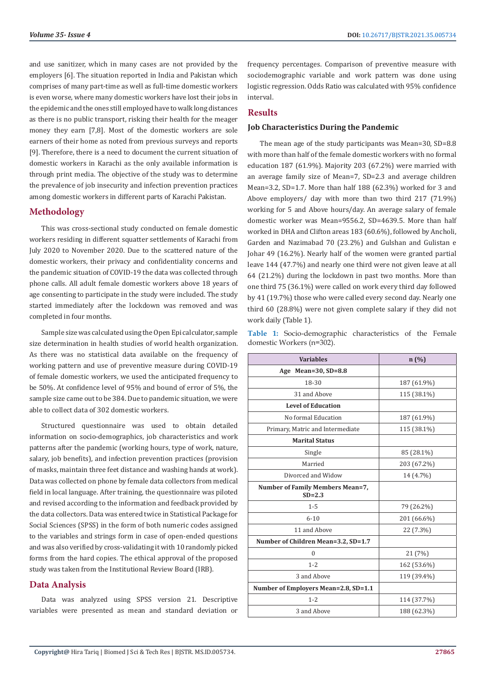and use sanitizer, which in many cases are not provided by the employers [6]. The situation reported in India and Pakistan which comprises of many part-time as well as full-time domestic workers is even worse, where many domestic workers have lost their jobs in the epidemic and the ones still employed have to walk long distances as there is no public transport, risking their health for the meager money they earn [7,8]. Most of the domestic workers are sole earners of their home as noted from previous surveys and reports [9]. Therefore, there is a need to document the current situation of domestic workers in Karachi as the only available information is through print media. The objective of the study was to determine the prevalence of job insecurity and infection prevention practices among domestic workers in different parts of Karachi Pakistan.

# **Methodology**

This was cross-sectional study conducted on female domestic workers residing in different squatter settlements of Karachi from July 2020 to November 2020. Due to the scattered nature of the domestic workers, their privacy and confidentiality concerns and the pandemic situation of COVID-19 the data was collected through phone calls. All adult female domestic workers above 18 years of age consenting to participate in the study were included. The study started immediately after the lockdown was removed and was completed in four months.

Sample size was calculated using the Open Epi calculator, sample size determination in health studies of world health organization. As there was no statistical data available on the frequency of working pattern and use of preventive measure during COVID-19 of female domestic workers, we used the anticipated frequency to be 50%. At confidence level of 95% and bound of error of 5%, the sample size came out to be 384. Due to pandemic situation, we were able to collect data of 302 domestic workers.

Structured questionnaire was used to obtain detailed information on socio-demographics, job characteristics and work patterns after the pandemic (working hours, type of work, nature, salary, job benefits), and infection prevention practices (provision of masks, maintain three feet distance and washing hands at work). Data was collected on phone by female data collectors from medical field in local language. After training, the questionnaire was piloted and revised according to the information and feedback provided by the data collectors. Data was entered twice in Statistical Package for Social Sciences (SPSS) in the form of both numeric codes assigned to the variables and strings form in case of open-ended questions and was also verified by cross-validating it with 10 randomly picked forms from the hard copies. The ethical approval of the proposed study was taken from the Institutional Review Board (IRB).

# **Data Analysis**

Data was analyzed using SPSS version 21. Descriptive variables were presented as mean and standard deviation or frequency percentages. Comparison of preventive measure with sociodemographic variable and work pattern was done using logistic regression. Odds Ratio was calculated with 95% confidence interval.

### **Results**

#### **Job Characteristics During the Pandemic**

The mean age of the study participants was Mean=30, SD=8.8 with more than half of the female domestic workers with no formal education 187 (61.9%). Majority 203 (67.2%) were married with an average family size of Mean=7, SD=2.3 and average children Mean=3.2, SD=1.7. More than half 188 (62.3%) worked for 3 and Above employers/ day with more than two third 217 (71.9%) working for 5 and Above hours/day. An average salary of female domestic worker was Mean=9556.2, SD=4639.5. More than half worked in DHA and Clifton areas 183 (60.6%), followed by Ancholi, Garden and Nazimabad 70 (23.2%) and Gulshan and Gulistan e Johar 49 (16.2%). Nearly half of the women were granted partial leave 144 (47.7%) and nearly one third were not given leave at all 64 (21.2%) during the lockdown in past two months. More than one third 75 (36.1%) were called on work every third day followed by 41 (19.7%) those who were called every second day. Nearly one third 60 (28.8%) were not given complete salary if they did not work daily (Table 1).

**Table 1:** Socio-demographic characteristics of the Female domestic Workers (n=302).

| <b>Variables</b>                               | n(%)        |  |  |  |
|------------------------------------------------|-------------|--|--|--|
| Age Mean= $30, SD=8.8$                         |             |  |  |  |
| 18-30                                          | 187 (61.9%) |  |  |  |
| 31 and Above                                   | 115 (38.1%) |  |  |  |
| <b>Level of Education</b>                      |             |  |  |  |
| No formal Education                            | 187 (61.9%) |  |  |  |
| Primary, Matric and Intermediate               | 115 (38.1%) |  |  |  |
| <b>Marital Status</b>                          |             |  |  |  |
| Single                                         | 85 (28.1%)  |  |  |  |
| Married                                        | 203 (67.2%) |  |  |  |
| Divorced and Widow                             | 14 (4.7%)   |  |  |  |
| Number of Family Members Mean=7,<br>$SD = 2.3$ |             |  |  |  |
| $1 - 5$                                        | 79 (26.2%)  |  |  |  |
| $6 - 10$                                       | 201 (66.6%) |  |  |  |
| 11 and Above                                   | 22 (7.3%)   |  |  |  |
| Number of Children Mean=3.2, SD=1.7            |             |  |  |  |
| $\boldsymbol{0}$                               | 21 (7%)     |  |  |  |
| $1 - 2$                                        | 162 (53.6%) |  |  |  |
| 3 and Above                                    | 119 (39.4%) |  |  |  |
| Number of Employers Mean=2.8, SD=1.1           |             |  |  |  |
| $1 - 2$                                        | 114 (37.7%) |  |  |  |
| 3 and Above                                    | 188 (62.3%) |  |  |  |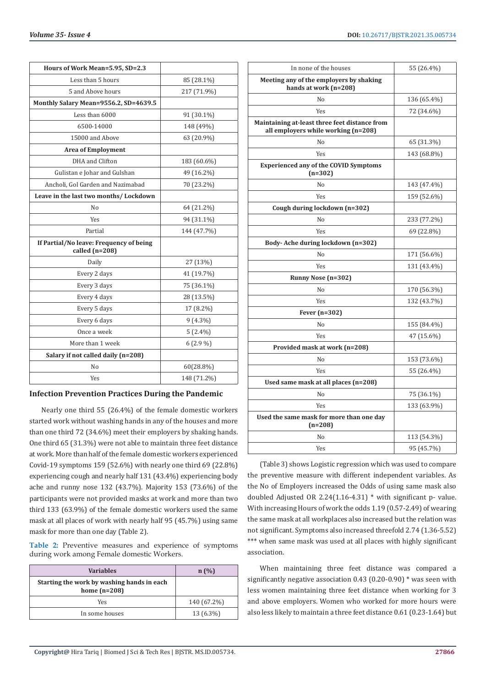| DOI: 10.26717/BJSTR.2021.35.005734<br>Volume 35- Issue 4 |
|----------------------------------------------------------|
|                                                          |

| Hours of Work Mean=5.95, SD=2.3                             |             |  |  |
|-------------------------------------------------------------|-------------|--|--|
| Less than 5 hours                                           | 85 (28.1%)  |  |  |
| 5 and Above hours                                           | 217 (71.9%) |  |  |
| Monthly Salary Mean=9556.2, SD=4639.5                       |             |  |  |
| Less than 6000                                              | 91 (30.1%)  |  |  |
| 6500-14000                                                  | 148 (49%)   |  |  |
| 15000 and Above                                             | 63 (20.9%)  |  |  |
| <b>Area of Employment</b>                                   |             |  |  |
| DHA and Clifton                                             | 183 (60.6%) |  |  |
| Gulistan e Johar and Gulshan                                | 49 (16.2%)  |  |  |
| Ancholi, Gol Garden and Nazimabad                           | 70 (23.2%)  |  |  |
| Leave in the last two months/ Lockdown                      |             |  |  |
| No                                                          | 64 (21.2%)  |  |  |
| <b>Yes</b>                                                  | 94 (31.1%)  |  |  |
| Partial                                                     | 144 (47.7%) |  |  |
| If Partial/No leave: Frequency of being<br>called $(n=208)$ |             |  |  |
| Daily                                                       | 27 (13%)    |  |  |
| Every 2 days                                                | 41 (19.7%)  |  |  |
| Every 3 days                                                | 75 (36.1%)  |  |  |
| Every 4 days                                                | 28 (13.5%)  |  |  |
| Every 5 days                                                | 17 (8.2%)   |  |  |
| Every 6 days                                                | $9(4.3\%)$  |  |  |
| Once a week                                                 | $5(2.4\%)$  |  |  |
| More than 1 week                                            | $6(2.9\%)$  |  |  |
| Salary if not called daily (n=208)                          |             |  |  |
| No                                                          | 60(28.8%)   |  |  |
| <b>Yes</b>                                                  | 148 (71.2%) |  |  |

#### **Infection Prevention Practices During the Pandemic**

Nearly one third 55 (26.4%) of the female domestic workers started work without washing hands in any of the houses and more than one third 72 (34.6%) meet their employers by shaking hands. One third 65 (31.3%) were not able to maintain three feet distance at work. More than half of the female domestic workers experienced Covid-19 symptoms 159 (52.6%) with nearly one third 69 (22.8%) experiencing cough and nearly half 131 (43.4%) experiencing body ache and runny nose 132 (43.7%). Majority 153 (73.6%) of the participants were not provided masks at work and more than two third 133 (63.9%) of the female domestic workers used the same mask at all places of work with nearly half 95 (45.7%) using same mask for more than one day (Table 2).

**Table 2:** Preventive measures and experience of symptoms during work among Female domestic Workers.

| <b>Variables</b>                                             | n(%)        |  |  |
|--------------------------------------------------------------|-------------|--|--|
| Starting the work by washing hands in each<br>home $(n=208)$ |             |  |  |
| Yes                                                          | 140 (67.2%) |  |  |
| In some houses                                               | 13 (6.3%)   |  |  |

| In none of the houses<br>55 (26.4%)                                                  |             |  |  |
|--------------------------------------------------------------------------------------|-------------|--|--|
| Meeting any of the employers by shaking<br>hands at work (n=208)                     |             |  |  |
| No                                                                                   | 136 (65.4%) |  |  |
| Yes                                                                                  | 72 (34.6%)  |  |  |
| Maintaining at-least three feet distance from<br>all employers while working (n=208) |             |  |  |
| No                                                                                   | 65 (31.3%)  |  |  |
| Yes                                                                                  | 143 (68.8%) |  |  |
| <b>Experienced any of the COVID Symptoms</b><br>$(n=302)$                            |             |  |  |
| No                                                                                   | 143 (47.4%) |  |  |
| Yes                                                                                  | 159 (52.6%) |  |  |
| Cough during lockdown (n=302)                                                        |             |  |  |
| No                                                                                   | 233 (77.2%) |  |  |
| Yes                                                                                  | 69 (22.8%)  |  |  |
| Body-Ache during lockdown (n=302)                                                    |             |  |  |
| No                                                                                   | 171 (56.6%) |  |  |
| Yes                                                                                  | 131 (43.4%) |  |  |
| Runny Nose (n=302)                                                                   |             |  |  |
| No                                                                                   | 170 (56.3%) |  |  |
| Yes                                                                                  | 132 (43.7%) |  |  |
| Fever $(n=302)$                                                                      |             |  |  |
| No                                                                                   | 155 (84.4%) |  |  |
| Yes                                                                                  | 47 (15.6%)  |  |  |
| Provided mask at work (n=208)                                                        |             |  |  |
| No                                                                                   | 153 (73.6%) |  |  |
| Yes                                                                                  | 55 (26.4%)  |  |  |
| Used same mask at all places (n=208)                                                 |             |  |  |
| No                                                                                   | 75 (36.1%)  |  |  |
| Yes                                                                                  | 133 (63.9%) |  |  |
| Used the same mask for more than one day<br>$(n=208)$                                |             |  |  |
| No                                                                                   | 113 (54.3%) |  |  |
| Yes                                                                                  | 95 (45.7%)  |  |  |

(Table 3) shows Logistic regression which was used to compare the preventive measure with different independent variables. As the No of Employers increased the Odds of using same mask also doubled Adjusted OR 2.24(1.16-4.31) \* with significant p- value. With increasing Hours of work the odds 1.19 (0.57-2.49) of wearing the same mask at all workplaces also increased but the relation was not significant. Symptoms also increased threefold 2.74 (1.36-5.52) \*\*\* when same mask was used at all places with highly significant association.

When maintaining three feet distance was compared a significantly negative association 0.43 (0.20-0.90) \* was seen with less women maintaining three feet distance when working for 3 and above employers. Women who worked for more hours were also less likely to maintain a three feet distance 0.61 (0.23-1.64) but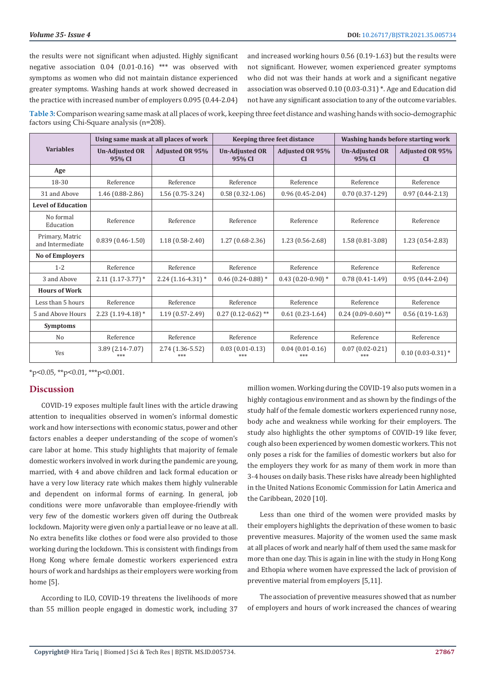the results were not significant when adjusted. Highly significant negative association 0.04 (0.01-0.16) \*\*\* was observed with symptoms as women who did not maintain distance experienced greater symptoms. Washing hands at work showed decreased in the practice with increased number of employers 0.095 (0.44-2.04)

and increased working hours 0.56 (0.19-1.63) but the results were not significant. However, women experienced greater symptoms who did not was their hands at work and a significant negative association was observed 0.10 (0.03-0.31) \*. Age and Education did not have any significant association to any of the outcome variables.

**Table 3:** Comparison wearing same mask at all places of work, keeping three feet distance and washing hands with socio-demographic factors using Chi-Square analysis (n=208).

|                                     | Using same mask at all places of work |                                     | Keeping three feet distance     |                                     | Washing hands before starting work |                                     |
|-------------------------------------|---------------------------------------|-------------------------------------|---------------------------------|-------------------------------------|------------------------------------|-------------------------------------|
| <b>Variables</b>                    | <b>Un-Adjusted OR</b><br>95% CI       | <b>Adjusted OR 95%</b><br><b>CI</b> | <b>Un-Adjusted OR</b><br>95% CI | <b>Adjusted OR 95%</b><br><b>CI</b> | <b>Un-Adjusted OR</b><br>95% CI    | <b>Adjusted OR 95%</b><br><b>CI</b> |
| Age                                 |                                       |                                     |                                 |                                     |                                    |                                     |
| 18-30                               | Reference                             | Reference                           | Reference                       | Reference                           | Reference                          | Reference                           |
| 31 and Above                        | 1.46 (0.88-2.86)                      | $1.56(0.75-3.24)$                   | $0.58(0.32 - 1.06)$             | $0.96(0.45-2.04)$                   | $0.70(0.37-1.29)$                  | $0.97(0.44 - 2.13)$                 |
| <b>Level of Education</b>           |                                       |                                     |                                 |                                     |                                    |                                     |
| No formal<br>Education              | Reference                             | Reference                           | Reference                       | Reference                           | Reference                          | Reference                           |
| Primary, Matric<br>and Intermediate | $0.839(0.46-1.50)$                    | $1.18(0.58-2.40)$                   | $1.27(0.68-2.36)$               | $1.23(0.56 - 2.68)$                 | $1.58(0.81-3.08)$                  | $1.23(0.54 - 2.83)$                 |
| <b>No of Employers</b>              |                                       |                                     |                                 |                                     |                                    |                                     |
| $1 - 2$                             | Reference                             | Reference                           | Reference                       | Reference                           | Reference                          | Reference                           |
| 3 and Above                         | $2.11(1.17-3.77)*$                    | $2.24$ (1.16-4.31) *                | $0.46$ (0.24-0.88) *            | $0.43(0.20-0.90)*$                  | $0.78(0.41-1.49)$                  | $0.95(0.44 - 2.04)$                 |
| <b>Hours of Work</b>                |                                       |                                     |                                 |                                     |                                    |                                     |
| Less than 5 hours                   | Reference                             | Reference                           | Reference                       | Reference                           | Reference                          | Reference                           |
| 5 and Above Hours                   | $2.23$ (1.19-4.18) *                  | $1.19(0.57 - 2.49)$                 | $0.27(0.12-0.62)$ **            | $0.61(0.23-1.64)$                   | $0.24$ (0.09-0.60) <sup>**</sup>   | $0.56(0.19-1.63)$                   |
| <b>Symptoms</b>                     |                                       |                                     |                                 |                                     |                                    |                                     |
| N <sub>o</sub>                      | Reference                             | Reference                           | Reference                       | Reference                           | Reference                          | Reference                           |
| Yes                                 | 3.89 (2.14-7.07)<br>***               | 2.74 (1.36-5.52)                    | $0.03(0.01-0.13)$<br>***        | $0.04(0.01-0.16)$<br>***            | $0.07(0.02-0.21)$<br>***           | $0.10$ (0.03-0.31) *                |

 $*p<0.05$ ,  $*p<0.01$ ,  $**p<0.001$ .

### **Discussion**

COVID-19 exposes multiple fault lines with the article drawing attention to inequalities observed in women's informal domestic work and how intersections with economic status, power and other factors enables a deeper understanding of the scope of women's care labor at home. This study highlights that majority of female domestic workers involved in work during the pandemic are young, married, with 4 and above children and lack formal education or have a very low literacy rate which makes them highly vulnerable and dependent on informal forms of earning. In general, job conditions were more unfavorable than employee-friendly with very few of the domestic workers given off during the Outbreak lockdown. Majority were given only a partial leave or no leave at all. No extra benefits like clothes or food were also provided to those working during the lockdown. This is consistent with findings from Hong Kong where female domestic workers experienced extra hours of work and hardships as their employers were working from home [5].

According to ILO, COVID-19 threatens the livelihoods of more than 55 million people engaged in domestic work, including 37 million women. Working during the COVID-19 also puts women in a highly contagious environment and as shown by the findings of the study half of the female domestic workers experienced runny nose, body ache and weakness while working for their employers. The study also highlights the other symptoms of COVID-19 like fever, cough also been experienced by women domestic workers. This not only poses a risk for the families of domestic workers but also for the employers they work for as many of them work in more than 3-4 houses on daily basis. These risks have already been highlighted in the United Nations Economic Commission for Latin America and the Caribbean, 2020 [10].

Less than one third of the women were provided masks by their employers highlights the deprivation of these women to basic preventive measures. Majority of the women used the same mask at all places of work and nearly half of them used the same mask for more than one day. This is again in line with the study in Hong Kong and Ethopia where women have expressed the lack of provision of preventive material from employers [5,11].

The association of preventive measures showed that as number of employers and hours of work increased the chances of wearing